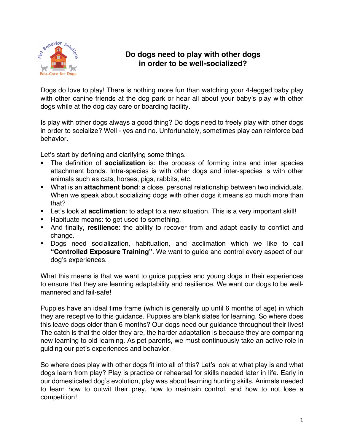

## **Do dogs need to play with other dogs in order to be well-socialized?**

Dogs do love to play! There is nothing more fun than watching your 4-legged baby play with other canine friends at the dog park or hear all about your baby's play with other dogs while at the dog day care or boarding facility.

Is play with other dogs always a good thing? Do dogs need to freely play with other dogs in order to socialize? Well - yes and no. Unfortunately, sometimes play can reinforce bad behavior.

Let's start by defining and clarifying some things.

- § The definition of **socialization** is: the process of forming intra and inter species attachment bonds. Intra-species is with other dogs and inter-species is with other animals such as cats, horses, pigs, rabbits, etc.
- What is an **attachment bond**: a close, personal relationship between two individuals. When we speak about socializing dogs with other dogs it means so much more than that?
- Let's look at **acclimation**: to adapt to a new situation. This is a very important skill!
- Habituate means: to get used to something.
- § And finally, **resilience**: the ability to recover from and adapt easily to conflict and change.
- § Dogs need socialization, habituation, and acclimation which we like to call **"Controlled Exposure Training"**. We want to guide and control every aspect of our dog's experiences.

What this means is that we want to guide puppies and young dogs in their experiences to ensure that they are learning adaptability and resilience. We want our dogs to be wellmannered and fail-safe!

Puppies have an ideal time frame (which is generally up until 6 months of age) in which they are receptive to this guidance. Puppies are blank slates for learning. So where does this leave dogs older than 6 months? Our dogs need our guidance throughout their lives! The catch is that the older they are, the harder adaptation is because they are comparing new learning to old learning. As pet parents, we must continuously take an active role in guiding our pet's experiences and behavior.

So where does play with other dogs fit into all of this? Let's look at what play is and what dogs learn from play? Play is practice or rehearsal for skills needed later in life. Early in our domesticated dog's evolution, play was about learning hunting skills. Animals needed to learn how to outwit their prey, how to maintain control, and how to not lose a competition!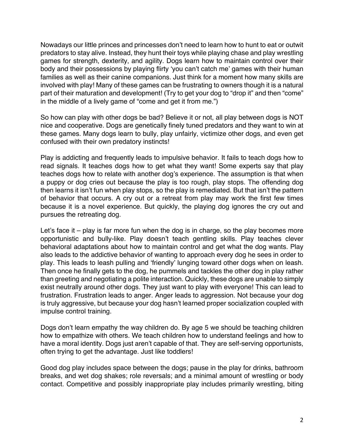Nowadays our little princes and princesses don't need to learn how to hunt to eat or outwit predators to stay alive. Instead, they hunt their toys while playing chase and play wrestling games for strength, dexterity, and agility. Dogs learn how to maintain control over their body and their possessions by playing flirty 'you can't catch me' games with their human families as well as their canine companions. Just think for a moment how many skills are involved with play! Many of these games can be frustrating to owners though it is a natural part of their maturation and development! (Try to get your dog to "drop it" and then "come" in the middle of a lively game of "come and get it from me.")

So how can play with other dogs be bad? Believe it or not, all play between dogs is NOT nice and cooperative. Dogs are genetically finely tuned predators and they want to win at these games. Many dogs learn to bully, play unfairly, victimize other dogs, and even get confused with their own predatory instincts!

Play is addicting and frequently leads to impulsive behavior. It fails to teach dogs how to read signals. It teaches dogs how to get what they want! Some experts say that play teaches dogs how to relate with another dog's experience. The assumption is that when a puppy or dog cries out because the play is too rough, play stops. The offending dog then learns it isn't fun when play stops, so the play is remediated. But that isn't the pattern of behavior that occurs. A cry out or a retreat from play may work the first few times because it is a novel experience. But quickly, the playing dog ignores the cry out and pursues the retreating dog.

Let's face it – play is far more fun when the dog is in charge, so the play becomes more opportunistic and bully-like. Play doesn't teach gentling skills. Play teaches clever behavioral adaptations about how to maintain control and get what the dog wants. Play also leads to the addictive behavior of wanting to approach every dog he sees in order to play. This leads to leash pulling and 'friendly' lunging toward other dogs when on leash. Then once he finally gets to the dog, he pummels and tackles the other dog in play rather than greeting and negotiating a polite interaction. Quickly, these dogs are unable to simply exist neutrally around other dogs. They just want to play with everyone! This can lead to frustration. Frustration leads to anger. Anger leads to aggression. Not because your dog is truly aggressive, but because your dog hasn't learned proper socialization coupled with impulse control training.

Dogs don't learn empathy the way children do. By age 5 we should be teaching children how to empathize with others. We teach children how to understand feelings and how to have a moral identity. Dogs just aren't capable of that. They are self-serving opportunists, often trying to get the advantage. Just like toddlers!

Good dog play includes space between the dogs; pause in the play for drinks, bathroom breaks, and wet dog shakes; role reversals; and a minimal amount of wrestling or body contact. Competitive and possibly inappropriate play includes primarily wrestling, biting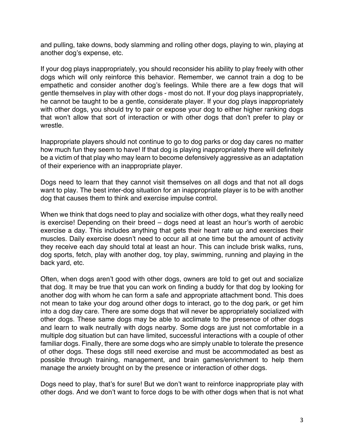and pulling, take downs, body slamming and rolling other dogs, playing to win, playing at another dog's expense, etc.

If your dog plays inappropriately, you should reconsider his ability to play freely with other dogs which will only reinforce this behavior. Remember, we cannot train a dog to be empathetic and consider another dog's feelings. While there are a few dogs that will gentle themselves in play with other dogs - most do not. If your dog plays inappropriately, he cannot be taught to be a gentle, considerate player. If your dog plays inappropriately with other dogs, you should try to pair or expose your dog to either higher ranking dogs that won't allow that sort of interaction or with other dogs that don't prefer to play or wrestle.

Inappropriate players should not continue to go to dog parks or dog day cares no matter how much fun they seem to have! If that dog is playing inappropriately there will definitely be a victim of that play who may learn to become defensively aggressive as an adaptation of their experience with an inappropriate player.

Dogs need to learn that they cannot visit themselves on all dogs and that not all dogs want to play. The best inter-dog situation for an inappropriate player is to be with another dog that causes them to think and exercise impulse control.

When we think that dogs need to play and socialize with other dogs, what they really need is exercise! Depending on their breed – dogs need at least an hour's worth of aerobic exercise a day. This includes anything that gets their heart rate up and exercises their muscles. Daily exercise doesn't need to occur all at one time but the amount of activity they receive each day should total at least an hour. This can include brisk walks, runs, dog sports, fetch, play with another dog, toy play, swimming, running and playing in the back yard, etc.

Often, when dogs aren't good with other dogs, owners are told to get out and socialize that dog. It may be true that you can work on finding a buddy for that dog by looking for another dog with whom he can form a safe and appropriate attachment bond. This does not mean to take your dog around other dogs to interact, go to the dog park, or get him into a dog day care. There are some dogs that will never be appropriately socialized with other dogs. These same dogs may be able to acclimate to the presence of other dogs and learn to walk neutrally with dogs nearby. Some dogs are just not comfortable in a multiple dog situation but can have limited, successful interactions with a couple of other familiar dogs. Finally, there are some dogs who are simply unable to tolerate the presence of other dogs. These dogs still need exercise and must be accommodated as best as possible through training, management, and brain games/enrichment to help them manage the anxiety brought on by the presence or interaction of other dogs.

Dogs need to play, that's for sure! But we don't want to reinforce inappropriate play with other dogs. And we don't want to force dogs to be with other dogs when that is not what